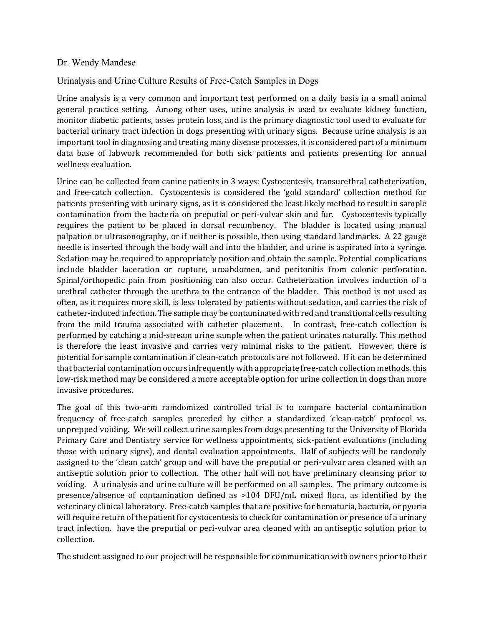## Dr. Wendy Mandese

## Urinalysis and Urine Culture Results of Free-Catch Samples in Dogs

Urine analysis is a very common and important test performed on a daily basis in a small animal general practice setting. Among other uses, urine analysis is used to evaluate kidney function, monitor diabetic patients, asses protein loss, and is the primary diagnostic tool used to evaluate for bacterial urinary tract infection in dogs presenting with urinary signs. Because urine analysis is an important tool in diagnosing and treating many disease processes, it is considered part of a minimum data base of labwork recommended for both sick patients and patients presenting for annual wellness evaluation.

Urine can be collected from canine patients in 3 ways: Cystocentesis, transurethral catheterization, and free-catch collection. Cystocentesis is considered the 'gold standard' collection method for patients presenting with urinary signs, as it is considered the least likely method to result in sample contamination from the bacteria on preputial or peri-vulvar skin and fur. Cystocentesis typically requires the patient to be placed in dorsal recumbency. The bladder is located using manual palpation or ultrasonography, or if neither is possible, then using standard landmarks. A 22 gauge needle is inserted through the body wall and into the bladder, and urine is aspirated into a syringe. Sedation may be required to appropriately position and obtain the sample. Potential complications include bladder laceration or rupture, uroabdomen, and peritonitis from colonic perforation. Spinal/orthopedic pain from positioning can also occur. Catheterization involves induction of a urethral catheter through the urethra to the entrance of the bladder. This method is not used as often, as it requires more skill, is less tolerated by patients without sedation, and carries the risk of catheter-induced infection. The sample may be contaminated with red and transitional cells resulting from the mild trauma associated with catheter placement. In contrast, free-catch collection is performed by catching a mid-stream urine sample when the patient urinates naturally. This method is therefore the least invasive and carries very minimal risks to the patient. However, there is potential for sample contamination if clean-catch protocols are not followed. If it can be determined that bacterial contamination occurs infrequently with appropriate free-catch collection methods, this low-risk method may be considered a more acceptable option for urine collection in dogs than more invasive procedures.

The goal of this two-arm ramdomized controlled trial is to compare bacterial contamination frequency of free-catch samples preceded by either a standardized 'clean-catch' protocol vs. unprepped voiding. We will collect urine samples from dogs presenting to the University of Florida Primary Care and Dentistry service for wellness appointments, sick-patient evaluations (including those with urinary signs), and dental evaluation appointments. Half of subjects will be randomly assigned to the 'clean catch' group and will have the preputial or peri-vulvar area cleaned with an antiseptic solution prior to collection. The other half will not have preliminary cleansing prior to voiding. A urinalysis and urine culture will be performed on all samples. The primary outcome is presence/absence of contamination defined as >104 DFU/mL mixed flora, as identified by the veterinary clinical laboratory. Free-catch samples that are positive for hematuria, bacturia, or pyuria will require return of the patient for cystocentesis to check for contamination or presence of a urinary tract infection. have the preputial or peri-vulvar area cleaned with an antiseptic solution prior to collection.

The student assigned to our project will be responsible for communication with owners prior to their